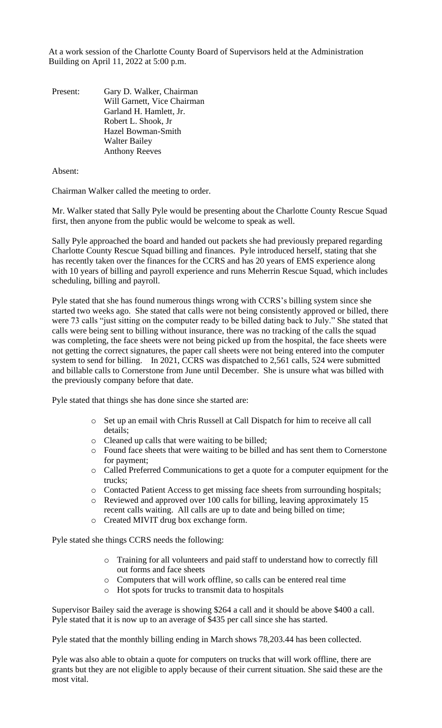At a work session of the Charlotte County Board of Supervisors held at the Administration Building on April 11, 2022 at 5:00 p.m.

Present: Gary D. Walker, Chairman Will Garnett, Vice Chairman Garland H. Hamlett, Jr. Robert L. Shook, Jr Hazel Bowman-Smith Walter Bailey Anthony Reeves

Absent:

Chairman Walker called the meeting to order.

Mr. Walker stated that Sally Pyle would be presenting about the Charlotte County Rescue Squad first, then anyone from the public would be welcome to speak as well.

Sally Pyle approached the board and handed out packets she had previously prepared regarding Charlotte County Rescue Squad billing and finances. Pyle introduced herself, stating that she has recently taken over the finances for the CCRS and has 20 years of EMS experience along with 10 years of billing and payroll experience and runs Meherrin Rescue Squad, which includes scheduling, billing and payroll.

Pyle stated that she has found numerous things wrong with CCRS's billing system since she started two weeks ago. She stated that calls were not being consistently approved or billed, there were 73 calls "just sitting on the computer ready to be billed dating back to July." She stated that calls were being sent to billing without insurance, there was no tracking of the calls the squad was completing, the face sheets were not being picked up from the hospital, the face sheets were not getting the correct signatures, the paper call sheets were not being entered into the computer system to send for billing. In 2021, CCRS was dispatched to 2,561 calls, 524 were submitted and billable calls to Cornerstone from June until December. She is unsure what was billed with the previously company before that date.

Pyle stated that things she has done since she started are:

- o Set up an email with Chris Russell at Call Dispatch for him to receive all call details;
- o Cleaned up calls that were waiting to be billed;
- o Found face sheets that were waiting to be billed and has sent them to Cornerstone for payment;
- o Called Preferred Communications to get a quote for a computer equipment for the trucks;
- o Contacted Patient Access to get missing face sheets from surrounding hospitals;
- o Reviewed and approved over 100 calls for billing, leaving approximately 15 recent calls waiting. All calls are up to date and being billed on time;
- o Created MIVIT drug box exchange form.

Pyle stated she things CCRS needs the following:

- o Training for all volunteers and paid staff to understand how to correctly fill out forms and face sheets
- o Computers that will work offline, so calls can be entered real time
- o Hot spots for trucks to transmit data to hospitals

Supervisor Bailey said the average is showing \$264 a call and it should be above \$400 a call. Pyle stated that it is now up to an average of \$435 per call since she has started.

Pyle stated that the monthly billing ending in March shows 78,203.44 has been collected.

Pyle was also able to obtain a quote for computers on trucks that will work offline, there are grants but they are not eligible to apply because of their current situation. She said these are the most vital.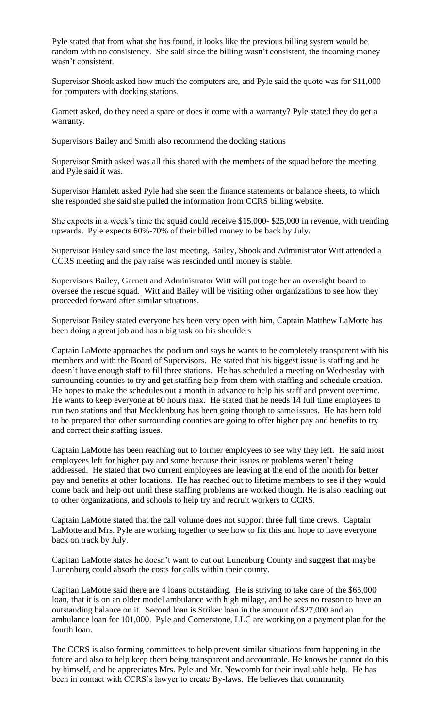Pyle stated that from what she has found, it looks like the previous billing system would be random with no consistency. She said since the billing wasn't consistent, the incoming money wasn't consistent.

Supervisor Shook asked how much the computers are, and Pyle said the quote was for \$11,000 for computers with docking stations.

Garnett asked, do they need a spare or does it come with a warranty? Pyle stated they do get a warranty.

Supervisors Bailey and Smith also recommend the docking stations

Supervisor Smith asked was all this shared with the members of the squad before the meeting, and Pyle said it was.

Supervisor Hamlett asked Pyle had she seen the finance statements or balance sheets, to which she responded she said she pulled the information from CCRS billing website.

She expects in a week's time the squad could receive \$15,000- \$25,000 in revenue, with trending upwards. Pyle expects 60%-70% of their billed money to be back by July.

Supervisor Bailey said since the last meeting, Bailey, Shook and Administrator Witt attended a CCRS meeting and the pay raise was rescinded until money is stable.

Supervisors Bailey, Garnett and Administrator Witt will put together an oversight board to oversee the rescue squad. Witt and Bailey will be visiting other organizations to see how they proceeded forward after similar situations.

Supervisor Bailey stated everyone has been very open with him, Captain Matthew LaMotte has been doing a great job and has a big task on his shoulders

Captain LaMotte approaches the podium and says he wants to be completely transparent with his members and with the Board of Supervisors. He stated that his biggest issue is staffing and he doesn't have enough staff to fill three stations. He has scheduled a meeting on Wednesday with surrounding counties to try and get staffing help from them with staffing and schedule creation. He hopes to make the schedules out a month in advance to help his staff and prevent overtime. He wants to keep everyone at 60 hours max. He stated that he needs 14 full time employees to run two stations and that Mecklenburg has been going though to same issues. He has been told to be prepared that other surrounding counties are going to offer higher pay and benefits to try and correct their staffing issues.

Captain LaMotte has been reaching out to former employees to see why they left. He said most employees left for higher pay and some because their issues or problems weren't being addressed. He stated that two current employees are leaving at the end of the month for better pay and benefits at other locations. He has reached out to lifetime members to see if they would come back and help out until these staffing problems are worked though. He is also reaching out to other organizations, and schools to help try and recruit workers to CCRS.

Captain LaMotte stated that the call volume does not support three full time crews. Captain LaMotte and Mrs. Pyle are working together to see how to fix this and hope to have everyone back on track by July.

Capitan LaMotte states he doesn't want to cut out Lunenburg County and suggest that maybe Lunenburg could absorb the costs for calls within their county.

Capitan LaMotte said there are 4 loans outstanding. He is striving to take care of the \$65,000 loan, that it is on an older model ambulance with high milage, and he sees no reason to have an outstanding balance on it. Second loan is Striker loan in the amount of \$27,000 and an ambulance loan for 101,000. Pyle and Cornerstone, LLC are working on a payment plan for the fourth loan.

The CCRS is also forming committees to help prevent similar situations from happening in the future and also to help keep them being transparent and accountable. He knows he cannot do this by himself, and he appreciates Mrs. Pyle and Mr. Newcomb for their invaluable help. He has been in contact with CCRS's lawyer to create By-laws. He believes that community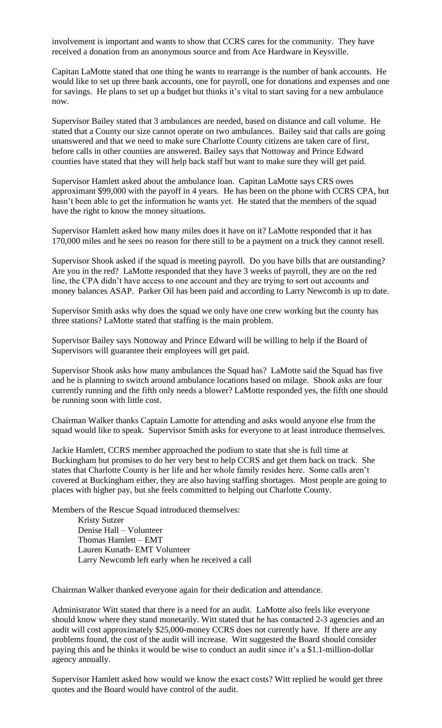involvement is important and wants to show that CCRS cares for the community. They have received a donation from an anonymous source and from Ace Hardware in Keysville.

Capitan LaMotte stated that one thing he wants to rearrange is the number of bank accounts. He would like to set up three bank accounts, one for payroll, one for donations and expenses and one for savings. He plans to set up a budget but thinks it's vital to start saving for a new ambulance now.

Supervisor Bailey stated that 3 ambulances are needed, based on distance and call volume. He stated that a County our size cannot operate on two ambulances. Bailey said that calls are going unanswered and that we need to make sure Charlotte County citizens are taken care of first, before calls in other counties are answered. Bailey says that Nottoway and Prince Edward counties have stated that they will help back staff but want to make sure they will get paid.

Supervisor Hamlett asked about the ambulance loan. Capitan LaMotte says CRS owes approximant \$99,000 with the payoff in 4 years. He has been on the phone with CCRS CPA, but hasn't been able to get the information he wants yet. He stated that the members of the squad have the right to know the money situations.

Supervisor Hamlett asked how many miles does it have on it? LaMotte responded that it has 170,000 miles and he sees no reason for there still to be a payment on a truck they cannot resell.

Supervisor Shook asked if the squad is meeting payroll. Do you have bills that are outstanding? Are you in the red? LaMotte responded that they have 3 weeks of payroll, they are on the red line, the CPA didn't have access to one account and they are trying to sort out accounts and money balances ASAP. Parker Oil has been paid and according to Larry Newcomb is up to date.

Supervisor Smith asks why does the squad we only have one crew working but the county has three stations? LaMotte stated that staffing is the main problem.

Supervisor Bailey says Nottoway and Prince Edward will be willing to help if the Board of Supervisors will guarantee their employees will get paid.

Supervisor Shook asks how many ambulances the Squad has? LaMotte said the Squad has five and he is planning to switch around ambulance locations based on milage. Shook asks are four currently running and the fifth only needs a blower? LaMotte responded yes, the fifth one should be running soon with little cost.

Chairman Walker thanks Captain Lamotte for attending and asks would anyone else from the squad would like to speak. Supervisor Smith asks for everyone to at least introduce themselves.

Jackie Hamlett, CCRS member approached the podium to state that she is full time at Buckingham but promises to do her very best to help CCRS and get them back on track. She states that Charlotte County is her life and her whole family resides here. Some calls aren't covered at Buckingham either, they are also having staffing shortages. Most people are going to places with higher pay, but she feels committed to helping out Charlotte County.

Members of the Rescue Squad introduced themselves:

Kristy Sutzer Denise Hall – Volunteer Thomas Hamlett – EMT Lauren Kunath- EMT Volunteer Larry Newcomb left early when he received a call

Chairman Walker thanked everyone again for their dedication and attendance.

Administrator Witt stated that there is a need for an audit. LaMotte also feels like everyone should know where they stand monetarily. Witt stated that he has contacted 2-3 agencies and an audit will cost approximately \$25,000-money CCRS does not currently have. If there are any problems found, the cost of the audit will increase. Witt suggested the Board should consider paying this and he thinks it would be wise to conduct an audit since it's a \$1.1-million-dollar agency annually.

Supervisor Hamlett asked how would we know the exact costs? Witt replied he would get three quotes and the Board would have control of the audit.